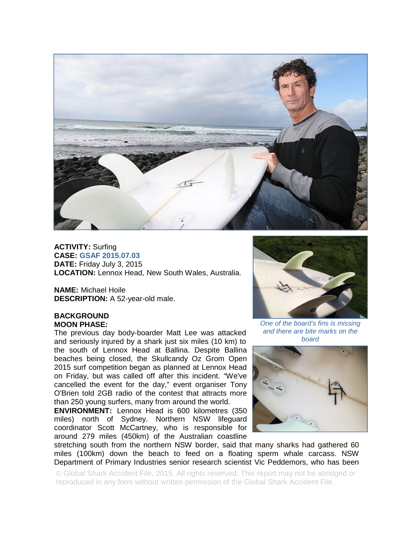

**ACTIVITY:** Surfing **CASE: GSAF 2015.07.03 DATE:** Friday July 3, 2015 **LOCATION:** Lennox Head, New South Wales, Australia.

**NAME:** Michael Hoile **DESCRIPTION:** A 52-year-old male.

## **BACKGROUND MOON PHASE:**

The previous day body-boarder Matt Lee was attacked and seriously injured by a shark just six miles (10 km) to the south of Lennox Head at Ballina. Despite Ballina beaches being closed, the Skullcandy Oz Grom Open 2015 surf competition began as planned at Lennox Head on Friday, but was called off after this incident. "We've cancelled the event for the day," event organiser Tony O'Brien told 2GB radio of the contest that attracts more than 250 young surfers, many from around the world.

**ENVIRONMENT:** Lennox Head is 600 kilometres (350 miles) north of Sydney. Northern NSW lifeguard coordinator Scott McCartney, who is responsible for around 279 miles (450km) of the Australian coastline



*One of the board's fins is missing and there are bite marks on the board* 



stretching south from the northern NSW border, said that many sharks had gathered 60 miles (100km) down the beach to feed on a floating sperm whale carcass. NSW Department of Primary Industries senior research scientist Vic Peddemors, who has been

© Global Shark Accident File, 2015. All rights reserved. This report may not be abridged or reproduced in any form without written permission of the Global Shark Accident File.